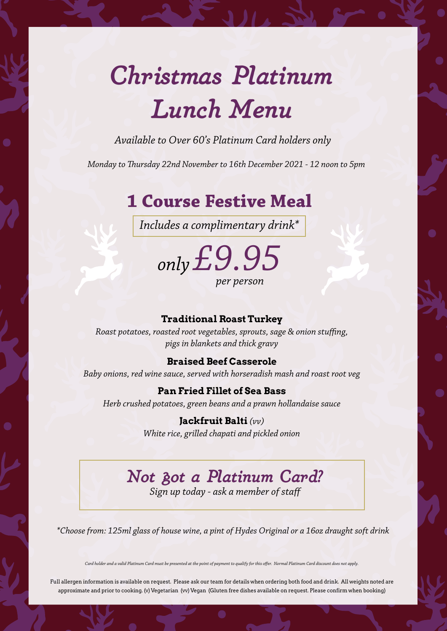## *Christmas Platinum Lunch Menu*

*Available to Over 60's Platinum Card holders only* 

*Monday to Thursday 22nd November to 16th December 2021 - 12 noon to 5pm*

### **1 Course Festive Meal**

*Includes a complimentary drink\**

*only £9.95 per person* 

#### **Traditional Roast Turkey**

*Roast potatoes, roasted root vegetables, sprouts, sage & onion stuffing, pigs in blankets and thick gravy*

#### **Braised Beef Casserole**

*Baby onions, red wine sauce, served with horseradish mash and roast root veg*

#### **Pan Fried Fillet of Sea Bass**

*Herb crushed potatoes, green beans and a prawn hollandaise sauce* 

**Jackfruit Balti** *(vv) White rice, grilled chapati and pickled onion*

## *Not got a Platinum Card?*

*Sign up today - ask a member of staff*

*\*Choose from: 125ml glass of house wine, a pint of Hydes Original or a 16oz draught soft drink*

*Card holder and a valid Platinum Card must be presented at the point of payment to qualify for this offer. Normal Platinum Card discount does not apply.*

Full allergen information is available on request. Please ask our team for details when ordering both food and drink. All weights noted are approximate and prior to cooking. (v) Vegetarian (vv) Vegan (Gluten free dishes available on request. Please confirm when booking)